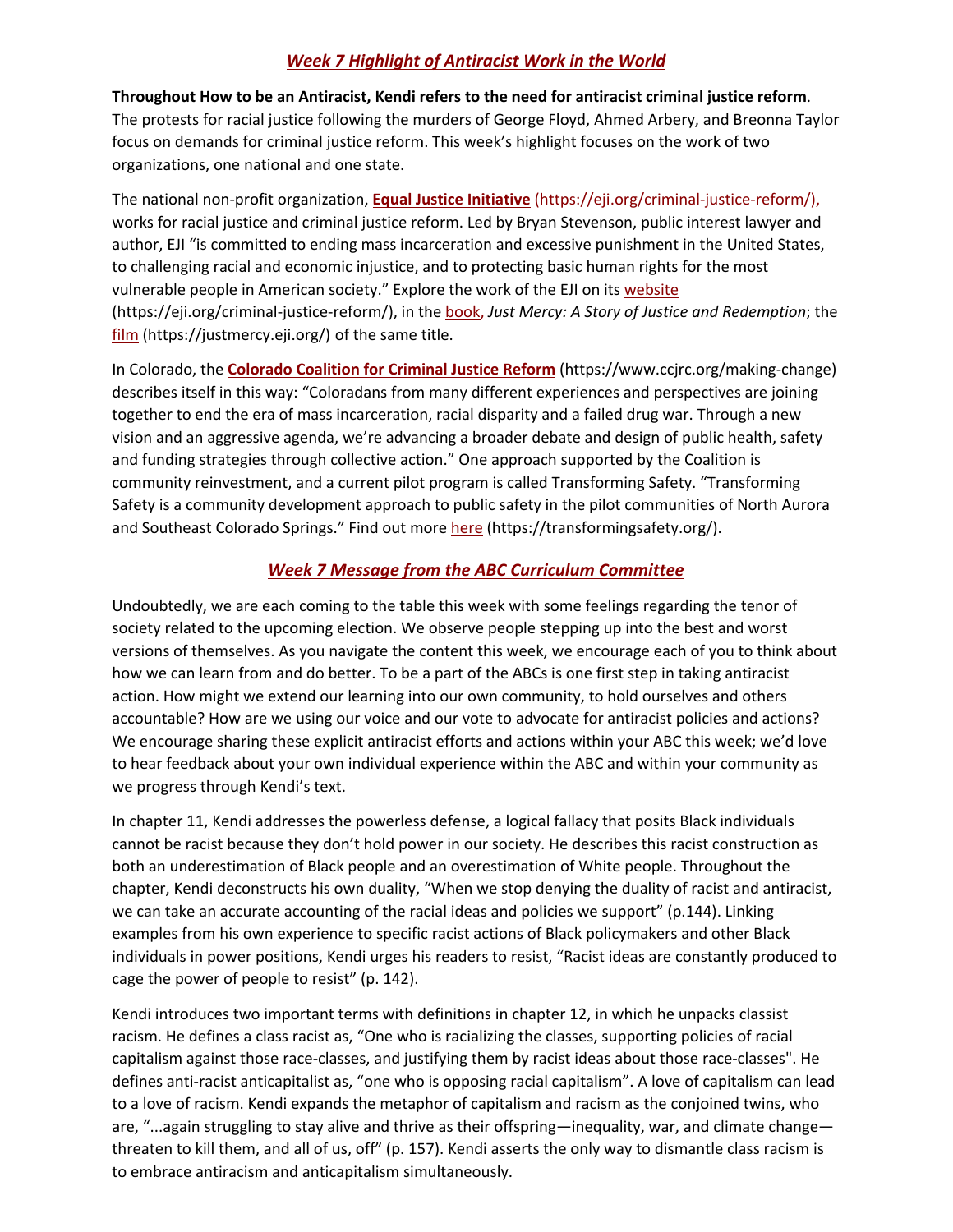## *Week 7 Highlight of Antiracist Work in the World*

**Throughout How to be an Antiracist, Kendi refers to the need for antiracist criminal justice reform**. The protests for racial justice following the murders of George Floyd, Ahmed Arbery, and Breonna Taylor focus on demands for criminal justice reform. This week's highlight focuses on the work of two organizations, one national and one state.

The national non-profit organization, **Equal Justice Initiative** (https://eji.org/criminal-justice-reform/), works for racial justice and criminal justice reform. Led by Bryan Stevenson, public interest lawyer and author, EJI "is committed to ending mass incarceration and excessive punishment in the United States, to challenging racial and economic injustice, and to protecting basic human rights for the most vulnerable people in American society." Explore the work of the EJI on its website (https://eji.org/criminal-justice-reform/), in the book, *Just Mercy: A Story of Justice and Redemption*; the film (https://justmercy.eji.org/) of the same title.

In Colorado, the **Colorado Coalition for Criminal Justice Reform** (https://www.ccjrc.org/making-change) describes itself in this way: "Coloradans from many different experiences and perspectives are joining together to end the era of mass incarceration, racial disparity and a failed drug war. Through a new vision and an aggressive agenda, we're advancing a broader debate and design of public health, safety and funding strategies through collective action." One approach supported by the Coalition is community reinvestment, and a current pilot program is called Transforming Safety. "Transforming Safety is a community development approach to public safety in the pilot communities of North Aurora and Southeast Colorado Springs." Find out more here (https://transformingsafety.org/).

## *Week 7 Message from the ABC Curriculum Committee*

Undoubtedly, we are each coming to the table this week with some feelings regarding the tenor of society related to the upcoming election. We observe people stepping up into the best and worst versions of themselves. As you navigate the content this week, we encourage each of you to think about how we can learn from and do better. To be a part of the ABCs is one first step in taking antiracist action. How might we extend our learning into our own community, to hold ourselves and others accountable? How are we using our voice and our vote to advocate for antiracist policies and actions? We encourage sharing these explicit antiracist efforts and actions within your ABC this week; we'd love to hear feedback about your own individual experience within the ABC and within your community as we progress through Kendi's text.

In chapter 11, Kendi addresses the powerless defense, a logical fallacy that posits Black individuals cannot be racist because they don't hold power in our society. He describes this racist construction as both an underestimation of Black people and an overestimation of White people. Throughout the chapter, Kendi deconstructs his own duality, "When we stop denying the duality of racist and antiracist, we can take an accurate accounting of the racial ideas and policies we support" (p.144). Linking examples from his own experience to specific racist actions of Black policymakers and other Black individuals in power positions, Kendi urges his readers to resist, "Racist ideas are constantly produced to cage the power of people to resist" (p. 142).

Kendi introduces two important terms with definitions in chapter 12, in which he unpacks classist racism. He defines a class racist as, "One who is racializing the classes, supporting policies of racial capitalism against those race-classes, and justifying them by racist ideas about those race-classes". He defines anti-racist anticapitalist as, "one who is opposing racial capitalism". A love of capitalism can lead to a love of racism. Kendi expands the metaphor of capitalism and racism as the conjoined twins, who are, "...again struggling to stay alive and thrive as their offspring—inequality, war, and climate change threaten to kill them, and all of us, off" (p. 157). Kendi asserts the only way to dismantle class racism is to embrace antiracism and anticapitalism simultaneously.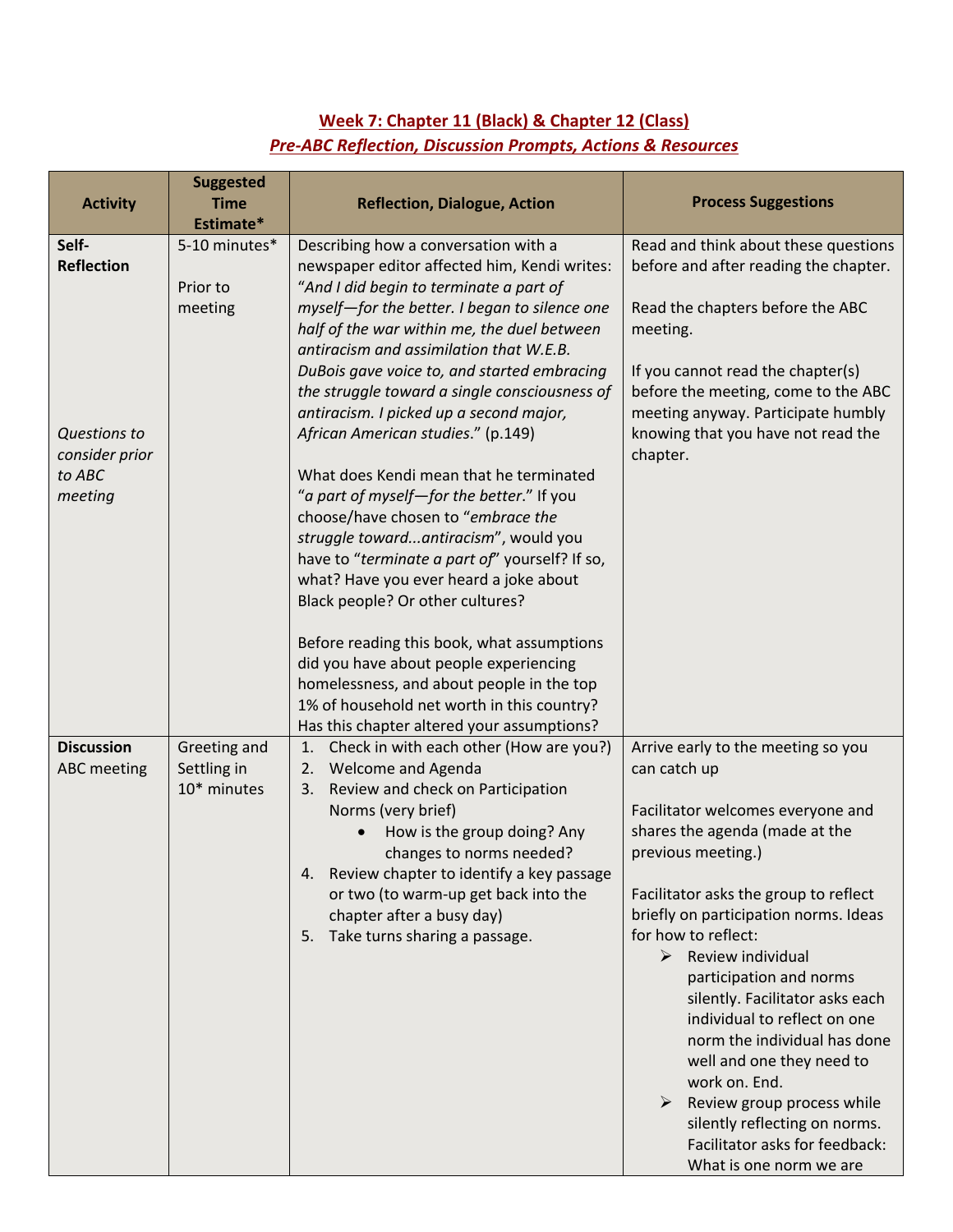## **Week 7: Chapter 11 (Black) & Chapter 12 (Class)** *Pre-ABC Reflection, Discussion Prompts, Actions & Resources*

| <b>Activity</b>                | <b>Suggested</b><br><b>Time</b><br>Estimate* | <b>Reflection, Dialogue, Action</b>                                                                                                                                                                                                                                                                 | <b>Process Suggestions</b>                                                                                                                                                                                                                                                                                                                                        |
|--------------------------------|----------------------------------------------|-----------------------------------------------------------------------------------------------------------------------------------------------------------------------------------------------------------------------------------------------------------------------------------------------------|-------------------------------------------------------------------------------------------------------------------------------------------------------------------------------------------------------------------------------------------------------------------------------------------------------------------------------------------------------------------|
| Self-                          | 5-10 minutes*                                | Describing how a conversation with a                                                                                                                                                                                                                                                                | Read and think about these questions                                                                                                                                                                                                                                                                                                                              |
| <b>Reflection</b>              | Prior to                                     | newspaper editor affected him, Kendi writes:<br>"And I did begin to terminate a part of                                                                                                                                                                                                             | before and after reading the chapter.                                                                                                                                                                                                                                                                                                                             |
|                                | meeting                                      | myself-for the better. I began to silence one<br>half of the war within me, the duel between<br>antiracism and assimilation that W.E.B.<br>DuBois gave voice to, and started embracing                                                                                                              | Read the chapters before the ABC<br>meeting.<br>If you cannot read the chapter(s)                                                                                                                                                                                                                                                                                 |
| Questions to<br>consider prior |                                              | the struggle toward a single consciousness of<br>antiracism. I picked up a second major,<br>African American studies." (p.149)                                                                                                                                                                      | before the meeting, come to the ABC<br>meeting anyway. Participate humbly<br>knowing that you have not read the<br>chapter.                                                                                                                                                                                                                                       |
| to ABC<br>meeting              |                                              | What does Kendi mean that he terminated<br>"a part of myself-for the better." If you<br>choose/have chosen to "embrace the<br>struggle towardantiracism", would you<br>have to "terminate a part of" yourself? If so,<br>what? Have you ever heard a joke about<br>Black people? Or other cultures? |                                                                                                                                                                                                                                                                                                                                                                   |
|                                |                                              | Before reading this book, what assumptions<br>did you have about people experiencing<br>homelessness, and about people in the top<br>1% of household net worth in this country?<br>Has this chapter altered your assumptions?                                                                       |                                                                                                                                                                                                                                                                                                                                                                   |
| <b>Discussion</b>              | Greeting and                                 | Check in with each other (How are you?)<br>1.                                                                                                                                                                                                                                                       | Arrive early to the meeting so you                                                                                                                                                                                                                                                                                                                                |
| <b>ABC</b> meeting             | Settling in                                  | <b>Welcome and Agenda</b><br>2.                                                                                                                                                                                                                                                                     | can catch up                                                                                                                                                                                                                                                                                                                                                      |
|                                | 10* minutes                                  | Review and check on Participation<br>3.                                                                                                                                                                                                                                                             |                                                                                                                                                                                                                                                                                                                                                                   |
|                                |                                              | Norms (very brief)<br>How is the group doing? Any<br>changes to norms needed?                                                                                                                                                                                                                       | Facilitator welcomes everyone and<br>shares the agenda (made at the<br>previous meeting.)                                                                                                                                                                                                                                                                         |
|                                |                                              | 4. Review chapter to identify a key passage<br>or two (to warm-up get back into the                                                                                                                                                                                                                 | Facilitator asks the group to reflect                                                                                                                                                                                                                                                                                                                             |
|                                |                                              | chapter after a busy day)                                                                                                                                                                                                                                                                           | briefly on participation norms. Ideas                                                                                                                                                                                                                                                                                                                             |
|                                |                                              | Take turns sharing a passage.<br>5.                                                                                                                                                                                                                                                                 | for how to reflect:<br>$\triangleright$ Review individual<br>participation and norms<br>silently. Facilitator asks each<br>individual to reflect on one<br>norm the individual has done<br>well and one they need to<br>work on. End.<br>Review group process while<br>silently reflecting on norms.<br>Facilitator asks for feedback:<br>What is one norm we are |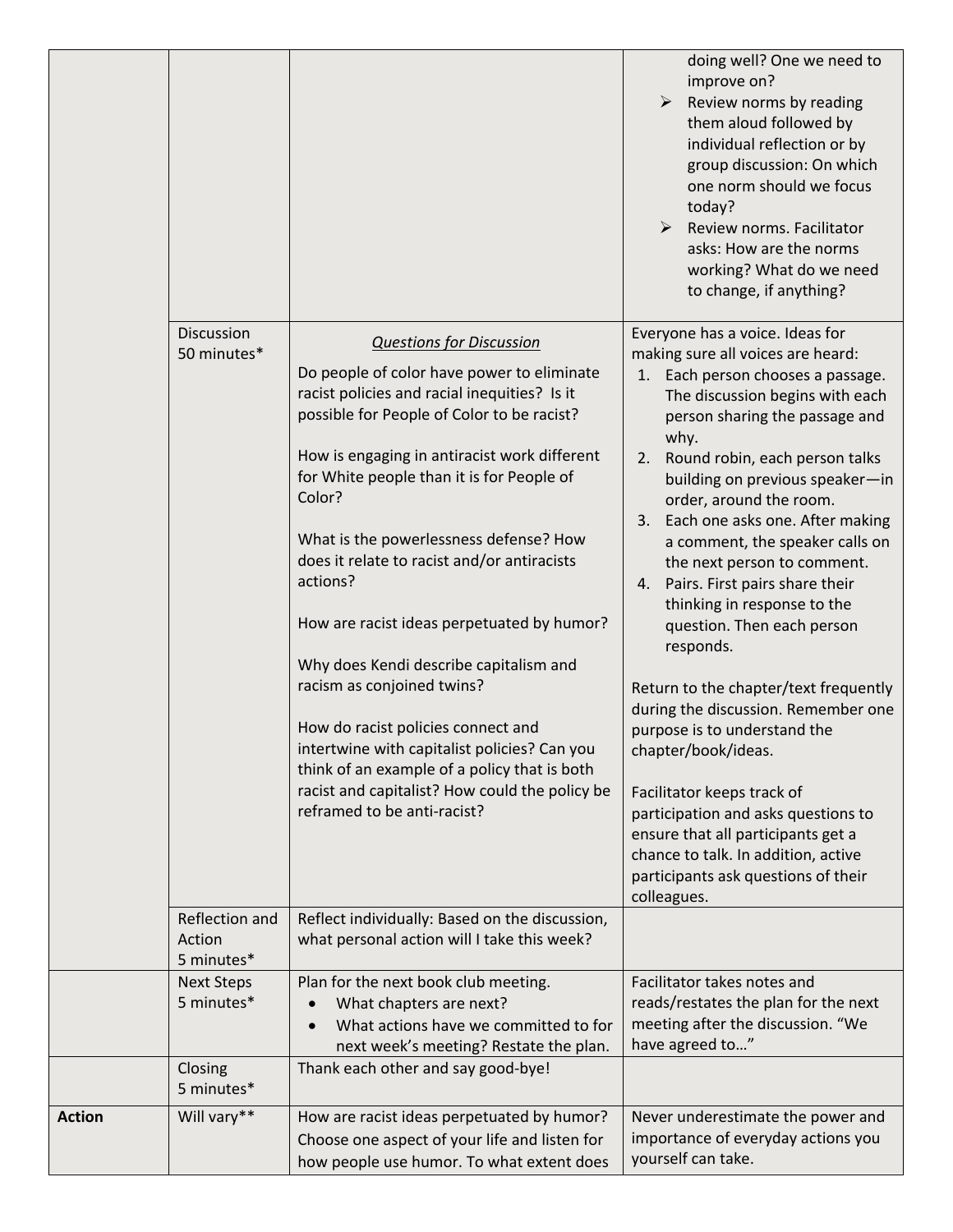|               |                                             |                                                                                                                                                                                                                                                                                                                                                                                                                                                                                                                                                                                                                                                                                                                                      | doing well? One we need to<br>improve on?<br>$\blacktriangleright$<br>Review norms by reading<br>them aloud followed by<br>individual reflection or by<br>group discussion: On which<br>one norm should we focus<br>today?<br>Review norms. Facilitator<br>asks: How are the norms<br>working? What do we need<br>to change, if anything?                                                                                                                                                                                                                                                                                                                                                                                                                                                                                                                                   |
|---------------|---------------------------------------------|--------------------------------------------------------------------------------------------------------------------------------------------------------------------------------------------------------------------------------------------------------------------------------------------------------------------------------------------------------------------------------------------------------------------------------------------------------------------------------------------------------------------------------------------------------------------------------------------------------------------------------------------------------------------------------------------------------------------------------------|-----------------------------------------------------------------------------------------------------------------------------------------------------------------------------------------------------------------------------------------------------------------------------------------------------------------------------------------------------------------------------------------------------------------------------------------------------------------------------------------------------------------------------------------------------------------------------------------------------------------------------------------------------------------------------------------------------------------------------------------------------------------------------------------------------------------------------------------------------------------------------|
|               | Discussion<br>50 minutes*<br>Reflection and | <b>Questions for Discussion</b><br>Do people of color have power to eliminate<br>racist policies and racial inequities? Is it<br>possible for People of Color to be racist?<br>How is engaging in antiracist work different<br>for White people than it is for People of<br>Color?<br>What is the powerlessness defense? How<br>does it relate to racist and/or antiracists<br>actions?<br>How are racist ideas perpetuated by humor?<br>Why does Kendi describe capitalism and<br>racism as conjoined twins?<br>How do racist policies connect and<br>intertwine with capitalist policies? Can you<br>think of an example of a policy that is both<br>racist and capitalist? How could the policy be<br>reframed to be anti-racist? | Everyone has a voice. Ideas for<br>making sure all voices are heard:<br>Each person chooses a passage.<br>1.<br>The discussion begins with each<br>person sharing the passage and<br>why.<br>Round robin, each person talks<br>2.<br>building on previous speaker-in<br>order, around the room.<br>Each one asks one. After making<br>3.<br>a comment, the speaker calls on<br>the next person to comment.<br>Pairs. First pairs share their<br>4.<br>thinking in response to the<br>question. Then each person<br>responds.<br>Return to the chapter/text frequently<br>during the discussion. Remember one<br>purpose is to understand the<br>chapter/book/ideas.<br>Facilitator keeps track of<br>participation and asks questions to<br>ensure that all participants get a<br>chance to talk. In addition, active<br>participants ask questions of their<br>colleagues. |
|               | Action<br>5 minutes*                        | Reflect individually: Based on the discussion,<br>what personal action will I take this week?                                                                                                                                                                                                                                                                                                                                                                                                                                                                                                                                                                                                                                        |                                                                                                                                                                                                                                                                                                                                                                                                                                                                                                                                                                                                                                                                                                                                                                                                                                                                             |
|               | <b>Next Steps</b><br>5 minutes*             | Plan for the next book club meeting.<br>What chapters are next?<br>$\bullet$<br>What actions have we committed to for<br>next week's meeting? Restate the plan.                                                                                                                                                                                                                                                                                                                                                                                                                                                                                                                                                                      | Facilitator takes notes and<br>reads/restates the plan for the next<br>meeting after the discussion. "We<br>have agreed to"                                                                                                                                                                                                                                                                                                                                                                                                                                                                                                                                                                                                                                                                                                                                                 |
|               | Closing<br>5 minutes*                       | Thank each other and say good-bye!                                                                                                                                                                                                                                                                                                                                                                                                                                                                                                                                                                                                                                                                                                   |                                                                                                                                                                                                                                                                                                                                                                                                                                                                                                                                                                                                                                                                                                                                                                                                                                                                             |
| <b>Action</b> | Will vary**                                 | How are racist ideas perpetuated by humor?<br>Choose one aspect of your life and listen for<br>how people use humor. To what extent does                                                                                                                                                                                                                                                                                                                                                                                                                                                                                                                                                                                             | Never underestimate the power and<br>importance of everyday actions you<br>yourself can take.                                                                                                                                                                                                                                                                                                                                                                                                                                                                                                                                                                                                                                                                                                                                                                               |